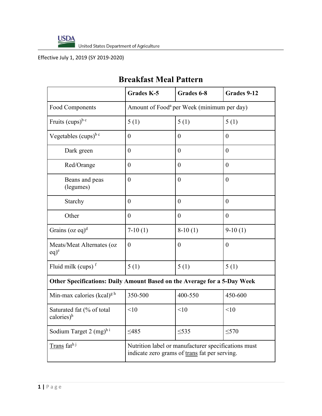

United States Department of Agriculture

Effective July 1, 2019 (SY 2019-2020)

## **Breakfast Meal Pattern**

|                                                                          | <b>Grades K-5</b>                                                                                    | Grades 6-8 | Grades 9-12    |
|--------------------------------------------------------------------------|------------------------------------------------------------------------------------------------------|------------|----------------|
| <b>Food Components</b>                                                   | Amount of Food <sup>a</sup> per Week (minimum per day)                                               |            |                |
| Fruits $(cups)^{b}$ <sup>c</sup>                                         | 5(1)                                                                                                 | 5(1)       | 5(1)           |
| Vegetables (cups) <sup>b c</sup>                                         | $\theta$                                                                                             | $\theta$   | $\overline{0}$ |
| Dark green                                                               | $\theta$                                                                                             | $\theta$   | $\theta$       |
| Red/Orange                                                               | $\theta$                                                                                             | $\theta$   | $\theta$       |
| Beans and peas<br>(legumes)                                              | $\theta$                                                                                             | $\theta$   | $\overline{0}$ |
| Starchy                                                                  | $\theta$                                                                                             | $\theta$   | $\theta$       |
| Other                                                                    | $\theta$                                                                                             | $\theta$   | $\overline{0}$ |
| Grains (oz eq) <sup>d</sup>                                              | $7-10(1)$                                                                                            | $8-10(1)$  | $9-10(1)$      |
| Meats/Meat Alternates (oz<br>$eq)$ <sup>e</sup>                          | $\theta$                                                                                             | $\theta$   | $\theta$       |
| Fluid milk (cups) <sup>f</sup>                                           | 5(1)                                                                                                 | 5(1)       | 5(1)           |
| Other Specifications: Daily Amount Based on the Average for a 5-Day Week |                                                                                                      |            |                |
| Min-max calories (kcal) <sup>g h</sup>                                   | 350-500                                                                                              | 400-550    | 450-600        |
| Saturated fat (% of total<br>calories) <sup>h</sup>                      | < 10                                                                                                 | < 10       | < 10           |
| Sodium Target 2 $(mg)^{h i}$                                             | $\leq 485$                                                                                           | $\leq 535$ | $\leq 570$     |
| Trans fath <sup>j</sup>                                                  | Nutrition label or manufacturer specifications must<br>indicate zero grams of trans fat per serving. |            |                |